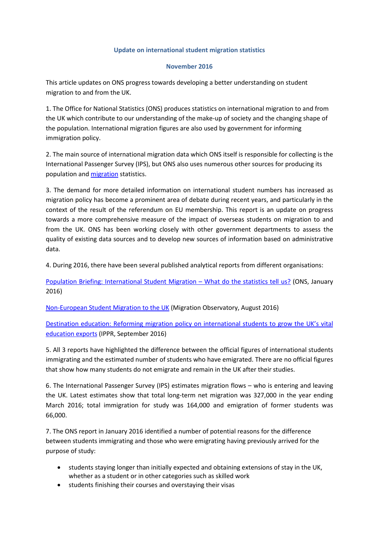## **Update on international student migration statistics**

## **November 2016**

This article updates on ONS progress towards developing a better understanding on student migration to and from the UK.

1. The Office for National Statistics (ONS) produces statistics on international migration to and from the UK which contribute to our understanding of the make-up of society and the changing shape of the population. International migration figures are also used by government for informing immigration policy.

2. The main source of international migration data which ONS itself is responsible for collecting is the International Passenger Survey (IPS), but ONS also uses numerous other sources for producing its population an[d migration](https://www.ons.gov.uk/peoplepopulationandcommunity/populationandmigration/internationalmigration/bulletins/migrationstatisticsquarterlyreport/august2016) statistics.

3. The demand for more detailed information on international student numbers has increased as migration policy has become a prominent area of debate during recent years, and particularly in the context of the result of the referendum on EU membership. This report is an update on progress towards a more comprehensive measure of the impact of overseas students on migration to and from the UK. ONS has been working closely with other government departments to assess the quality of existing data sources and to develop new sources of information based on administrative data.

4. During 2016, there have been several published analytical reports from different organisations:

Population Briefing: International Student Migration - What do the statistics tell us? (ONS, January 2016)

[Non-European Student Migration to the UK](http://www.migrationobservatory.ox.ac.uk/resources/briefings/non-european-student-migration-to-the-uk/) (Migration Observatory, August 2016)

Destination education: [Reforming migration policy on international students to grow the UK's vital](http://www.ippr.org/publications/destination-education)  [education exports](http://www.ippr.org/publications/destination-education) (IPPR, September 2016)

5. All 3 reports have highlighted the difference between the official figures of international students immigrating and the estimated number of students who have emigrated. There are no official figures that show how many students do not emigrate and remain in the UK after their studies.

6. The International Passenger Survey (IPS) estimates migration flows – who is entering and leaving the UK. Latest estimates show that total long-term net migration was 327,000 in the year ending March 2016; total immigration for study was 164,000 and emigration of former students was 66,000.

7. The ONS report in January 2016 identified a number of potential reasons for the difference between students immigrating and those who were emigrating having previously arrived for the purpose of study:

- students staying longer than initially expected and obtaining extensions of stay in the UK, whether as a student or in other categories such as skilled work
- students finishing their courses and overstaying their visas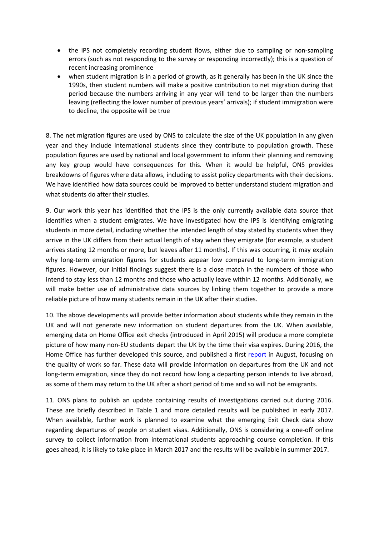- the IPS not completely recording student flows, either due to sampling or non-sampling errors (such as not responding to the survey or responding incorrectly); this is a question of recent increasing prominence
- when student migration is in a period of growth, as it generally has been in the UK since the 1990s, then student numbers will make a positive contribution to net migration during that period because the numbers arriving in any year will tend to be larger than the numbers leaving (reflecting the lower number of previous years' arrivals); if student immigration were to decline, the opposite will be true

8. The net migration figures are used by ONS to calculate the size of the UK population in any given year and they include international students since they contribute to population growth. These population figures are used by national and local government to inform their planning and removing any key group would have consequences for this. When it would be helpful, ONS provides breakdowns of figures where data allows, including to assist policy departments with their decisions. We have identified how data sources could be improved to better understand student migration and what students do after their studies.

9. Our work this year has identified that the IPS is the only currently available data source that identifies when a student emigrates. We have investigated how the IPS is identifying emigrating students in more detail, including whether the intended length of stay stated by students when they arrive in the UK differs from their actual length of stay when they emigrate (for example, a student arrives stating 12 months or more, but leaves after 11 months). If this was occurring, it may explain why long-term emigration figures for students appear low compared to long-term immigration figures. However, our initial findings suggest there is a close match in the numbers of those who intend to stay less than 12 months and those who actually leave within 12 months. Additionally, we will make better use of administrative data sources by linking them together to provide a more reliable picture of how many students remain in the UK after their studies.

10. The above developments will provide better information about students while they remain in the UK and will not generate new information on student departures from the UK. When available, emerging data on Home Office exit checks (introduced in April 2015) will produce a more complete picture of how many non-EU students depart the UK by the time their visa expires. During 2016, the Home Office has further developed this source, and published a first [report](https://www.gov.uk/government/uploads/system/uploads/attachment_data/file/547989/report-on-statistics-being-collected-under-exit-checks-programme.pdf) in August, focusing on the quality of work so far. These data will provide information on departures from the UK and not long-term emigration, since they do not record how long a departing person intends to live abroad, as some of them may return to the UK after a short period of time and so will not be emigrants.

11. ONS plans to publish an update containing results of investigations carried out during 2016. These are briefly described in Table 1 and more detailed results will be published in early 2017. When available, further work is planned to examine what the emerging Exit Check data show regarding departures of people on student visas. Additionally, ONS is considering a one-off online survey to collect information from international students approaching course completion. If this goes ahead, it is likely to take place in March 2017 and the results will be available in summer 2017.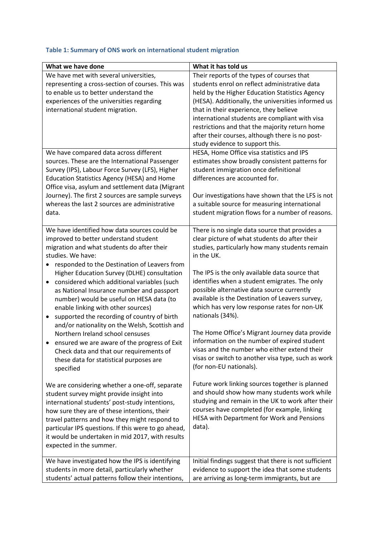| Table 1: Summary of ONS work on international student migration |  |
|-----------------------------------------------------------------|--|
|-----------------------------------------------------------------|--|

| What we have done                                                                                                                                                                                                                                                                                                                                                                                                                                                                                                                                                                                                                                                                                                                                                                                                                                                                                                                                                                                                                                                                                                                           | What it has told us                                                                                                                                                                                                                                                                                                                                                                                                                                                                                                                                                                                                                                                                                                                                                                                                                                                                                                                        |
|---------------------------------------------------------------------------------------------------------------------------------------------------------------------------------------------------------------------------------------------------------------------------------------------------------------------------------------------------------------------------------------------------------------------------------------------------------------------------------------------------------------------------------------------------------------------------------------------------------------------------------------------------------------------------------------------------------------------------------------------------------------------------------------------------------------------------------------------------------------------------------------------------------------------------------------------------------------------------------------------------------------------------------------------------------------------------------------------------------------------------------------------|--------------------------------------------------------------------------------------------------------------------------------------------------------------------------------------------------------------------------------------------------------------------------------------------------------------------------------------------------------------------------------------------------------------------------------------------------------------------------------------------------------------------------------------------------------------------------------------------------------------------------------------------------------------------------------------------------------------------------------------------------------------------------------------------------------------------------------------------------------------------------------------------------------------------------------------------|
| We have met with several universities,<br>representing a cross-section of courses. This was<br>to enable us to better understand the<br>experiences of the universities regarding<br>international student migration.                                                                                                                                                                                                                                                                                                                                                                                                                                                                                                                                                                                                                                                                                                                                                                                                                                                                                                                       | Their reports of the types of courses that<br>students enrol on reflect administrative data<br>held by the Higher Education Statistics Agency<br>(HESA). Additionally, the universities informed us<br>that in their experience, they believe<br>international students are compliant with visa<br>restrictions and that the majority return home<br>after their courses, although there is no post-<br>study evidence to support this.                                                                                                                                                                                                                                                                                                                                                                                                                                                                                                    |
| We have compared data across different<br>sources. These are the International Passenger<br>Survey (IPS), Labour Force Survey (LFS), Higher<br>Education Statistics Agency (HESA) and Home<br>Office visa, asylum and settlement data (Migrant<br>Journey). The first 2 sources are sample surveys<br>whereas the last 2 sources are administrative<br>data.                                                                                                                                                                                                                                                                                                                                                                                                                                                                                                                                                                                                                                                                                                                                                                                | HESA, Home Office visa statistics and IPS<br>estimates show broadly consistent patterns for<br>student immigration once definitional<br>differences are accounted for.<br>Our investigations have shown that the LFS is not<br>a suitable source for measuring international<br>student migration flows for a number of reasons.                                                                                                                                                                                                                                                                                                                                                                                                                                                                                                                                                                                                           |
| We have identified how data sources could be<br>improved to better understand student<br>migration and what students do after their<br>studies. We have:<br>responded to the Destination of Leavers from<br>٠<br>Higher Education Survey (DLHE) consultation<br>considered which additional variables (such<br>٠<br>as National Insurance number and passport<br>number) would be useful on HESA data (to<br>enable linking with other sources)<br>supported the recording of country of birth<br>$\bullet$<br>and/or nationality on the Welsh, Scottish and<br>Northern Ireland school censuses<br>ensured we are aware of the progress of Exit<br>Check data and that our requirements of<br>these data for statistical purposes are<br>specified<br>We are considering whether a one-off, separate<br>student survey might provide insight into<br>international students' post-study intentions,<br>how sure they are of these intentions, their<br>travel patterns and how they might respond to<br>particular IPS questions. If this were to go ahead,<br>it would be undertaken in mid 2017, with results<br>expected in the summer. | There is no single data source that provides a<br>clear picture of what students do after their<br>studies, particularly how many students remain<br>in the UK.<br>The IPS is the only available data source that<br>identifies when a student emigrates. The only<br>possible alternative data source currently<br>available is the Destination of Leavers survey,<br>which has very low response rates for non-UK<br>nationals (34%).<br>The Home Office's Migrant Journey data provide<br>information on the number of expired student<br>visas and the number who either extend their<br>visas or switch to another visa type, such as work<br>(for non-EU nationals).<br>Future work linking sources together is planned<br>and should show how many students work while<br>studying and remain in the UK to work after their<br>courses have completed (for example, linking<br>HESA with Department for Work and Pensions<br>data). |
| We have investigated how the IPS is identifying<br>students in more detail, particularly whether<br>students' actual patterns follow their intentions,                                                                                                                                                                                                                                                                                                                                                                                                                                                                                                                                                                                                                                                                                                                                                                                                                                                                                                                                                                                      | Initial findings suggest that there is not sufficient<br>evidence to support the idea that some students<br>are arriving as long-term immigrants, but are                                                                                                                                                                                                                                                                                                                                                                                                                                                                                                                                                                                                                                                                                                                                                                                  |